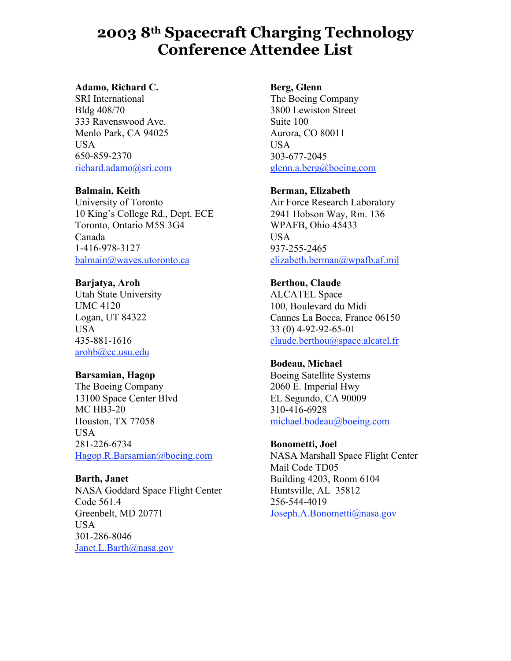# **2003 8th Spacecraft Charging Technology Conference Attendee List**

### **Adamo, Richard C.**

SRI International Bldg 408/70 333 Ravenswood Ave. Menlo Park, CA 94025 USA 650-859-2370 richard.adamo@sri.com

### **Balmain, Keith**

University of Toronto 10 King's College Rd., Dept. ECE Toronto, Ontario M5S 3G4 Canada 1-416-978-3127 balmain@waves.utoronto.ca

### **Barjatya, Aroh**

Utah State University UMC 4120 Logan, UT 84322 USA 435-881-1616 arohb@cc.usu.edu

### **Barsamian, Hagop**

The Boeing Company 13100 Space Center Blvd MC HB3-20 Houston, TX 77058 USA 281-226-6734 Hagop.R.Barsamian@boeing.com

#### **Barth, Janet**

NASA Goddard Space Flight Center Code 561.4 Greenbelt, MD 20771 USA 301-286-8046 Janet.L.Barth@nasa.gov

### **Berg, Glenn**

The Boeing Company 3800 Lewiston Street Suite 100 Aurora, CO 80011 USA 303-677-2045 glenn.a.berg@boeing.com

### **Berman, Elizabeth**

Air Force Research Laboratory 2941 Hobson Way, Rm. 136 WPAFB, Ohio 45433 USA 937-255-2465 elizabeth.berman@wpafb.af.mil

### **Berthou, Claude**

ALCATEL Space 100, Boulevard du Midi Cannes La Bocca, France 06150 33 (0) 4-92-92-65-01 claude.berthou@space.alcatel.fr

#### **Bodeau, Michael**

Boeing Satellite Systems 2060 E. Imperial Hwy EL Segundo, CA 90009 310-416-6928 michael.bodeau@boeing.com

### **Bonometti, Joel**

NASA Marshall Space Flight Center Mail Code TD05 Building 4203, Room 6104 Huntsville, AL 35812 256-544-4019 Joseph.A.Bonometti@nasa.gov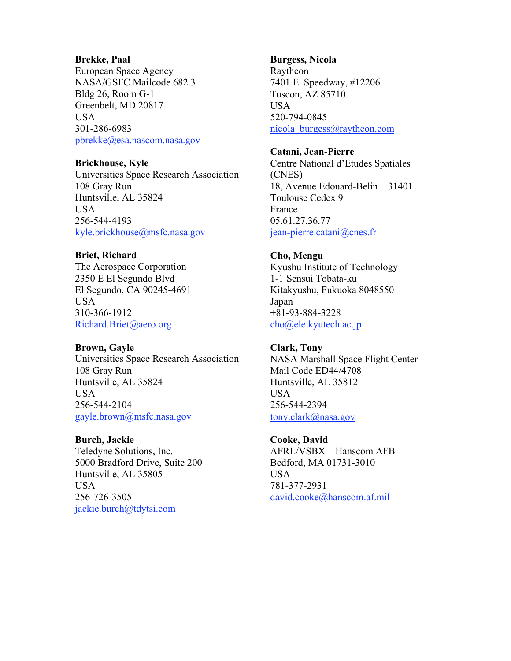#### **Brekke, Paal**

European Space Agency NASA/GSFC Mailcode 682.3 Bldg 26, Room G-1 Greenbelt, MD 20817 USA 301-286-6983 pbrekke@esa.nascom.nasa.gov

### **Brickhouse, Kyle**

Universities Space Research Association 108 Gray Run Huntsville, AL 35824 USA 256-544-4193 kyle.brickhouse@msfc.nasa.gov

### **Briet, Richard**

The Aerospace Corporation 2350 E El Segundo Blvd El Segundo, CA 90245-4691 USA 310-366-1912 Richard.Briet@aero.org

### **Brown, Gayle**

Universities Space Research Association 108 Gray Run Huntsville, AL 35824 USA 256-544-2104 gayle.brown@msfc.nasa.gov

### **Burch, Jackie**

Teledyne Solutions, Inc. 5000 Bradford Drive, Suite 200 Huntsville, AL 35805 USA 256-726-3505 jackie.burch@tdytsi.com

### **Burgess, Nicola**

Raytheon 7401 E. Speedway, #12206 Tuscon, AZ 85710 USA 520-794-0845 nicola\_burgess@raytheon.com

## **Catani, Jean-Pierre**

Centre National d'Etudes Spatiales (CNES) 18, Avenue Edouard-Belin – 31401 Toulouse Cedex 9 France 05.61.27.36.77 jean-pierre.catani@cnes.fr

# **Cho, Mengu**

Kyushu Institute of Technology 1-1 Sensui Tobata-ku Kitakyushu, Fukuoka 8048550 Japan +81-93-884-3228 cho@ele.kyutech.ac.jp

# **Clark, Tony**

NASA Marshall Space Flight Center Mail Code ED44/4708 Huntsville, AL 35812 USA 256-544-2394 tony.clark@nasa.gov

### **Cooke, David**

AFRL/VSBX – Hanscom AFB Bedford, MA 01731-3010 USA 781-377-2931 david.cooke@hanscom.af.mil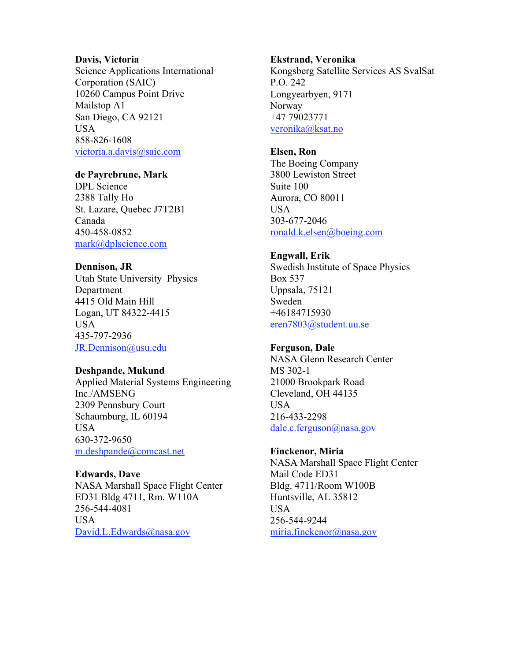#### **Davis, Victoria**

Science Applications International Corporation (SAIC) 10260 Campus Point Drive Mailstop A1 San Diego, CA 92121 USA 858-826-1608 victoria.a.davis@saic.com

### **de Payrebrune, Mark**

DPL Science 2388 Tally Ho St. Lazare, Quebec J7T2B1 Canada 450-458-0852 mark@dplscience.com

### **Dennison, JR**

Utah State University Physics Department 4415 Old Main Hill Logan, UT 84322-4415 USA 435-797-2936 JR.Dennison@usu.edu

#### **Deshpande, Mukund**

Applied Material Systems Engineering Inc./AMSENG 2309 Pennsbury Court Schaumburg, IL 60194 USA 630-372-9650 m.deshpande@comcast.net

#### **Edwards, Dave**

NASA Marshall Space Flight Center ED31 Bldg 4711, Rm. W110A 256-544-4081 USA David.L.Edwards@nasa.gov

#### **Ekstrand, Veronika**

Kongsberg Satellite Services AS SvalSat P.O. 242 Longyearbyen, 9171 Norway +47 79023771 veronika@ksat.no

### **Elsen, Ron**

The Boeing Company 3800 Lewiston Street Suite 100 Aurora, CO 80011 USA 303-677-2046 ronald.k.elsen@boeing.com

### **Engwall, Erik**

Swedish Institute of Space Physics Box 537 Uppsala, 75121 Sweden +46184715930 eren7803@student.uu.se

### **Ferguson, Dale**

NASA Glenn Research Center MS 302-1 21000 Brookpark Road Cleveland, OH 44135 USA 216-433-2298 dale.c.ferguson@nasa.gov

### **Finckenor, Miria**

NASA Marshall Space Flight Center Mail Code ED31 Bldg. 4711/Room W100B Huntsville, AL 35812 USA 256-544-9244 miria.finckenor@nasa.gov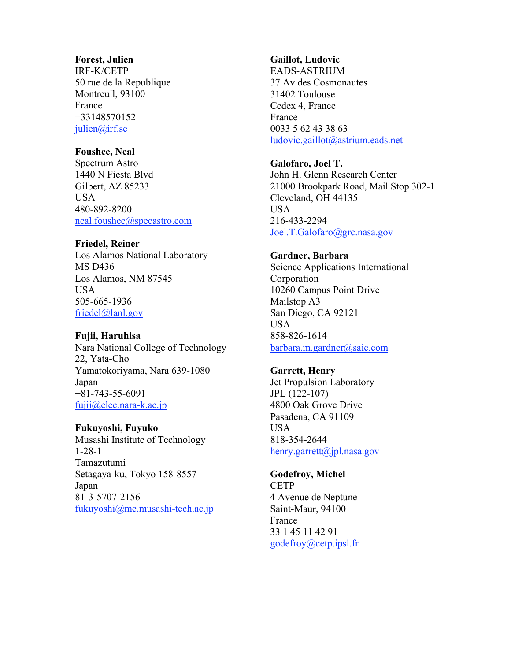#### **Forest, Julien**

IRF-K/CETP 50 rue de la Republique Montreuil, 93100 France +33148570152 julien@irf.se

# **Foushee, Neal**

Spectrum Astro 1440 N Fiesta Blvd Gilbert, AZ 85233 USA 480-892-8200 neal.foushee@specastro.com

# **Friedel, Reiner**

Los Alamos National Laboratory MS D436 Los Alamos, NM 87545 USA 505-665-1936 friedel@lanl.gov

# **Fujii, Haruhisa**

Nara National College of Technology 22, Yata-Cho Yamatokoriyama, Nara 639-1080 Japan +81-743-55-6091 fujii@elec.nara-k.ac.jp

### **Fukuyoshi, Fuyuko**

Musashi Institute of Technology 1-28-1 Tamazutumi Setagaya-ku, Tokyo 158-8557 Japan 81-3-5707-2156 fukuyoshi@me.musashi-tech.ac.jp

# **Gaillot, Ludovic**

EADS-ASTRIUM 37 Av des Cosmonautes 31402 Toulouse Cedex 4, France France 0033 5 62 43 38 63 ludovic.gaillot@astrium.eads.net

# **Galofaro, Joel T.**

John H. Glenn Research Center 21000 Brookpark Road, Mail Stop 302-1 Cleveland, OH 44135 USA 216-433-2294 Joel.T.Galofaro@grc.nasa.gov

# **Gardner, Barbara**

Science Applications International Corporation 10260 Campus Point Drive Mailstop A3 San Diego, CA 92121 USA 858-826-1614 barbara.m.gardner@saic.com

### **Garrett, Henry**

Jet Propulsion Laboratory JPL (122-107) 4800 Oak Grove Drive Pasadena, CA 91109 USA 818-354-2644 henry.garrett@jpl.nasa.gov

### **Godefroy, Michel**

**CETP** 4 Avenue de Neptune Saint-Maur, 94100 France 33 1 45 11 42 91 godefroy@cetp.ipsl.fr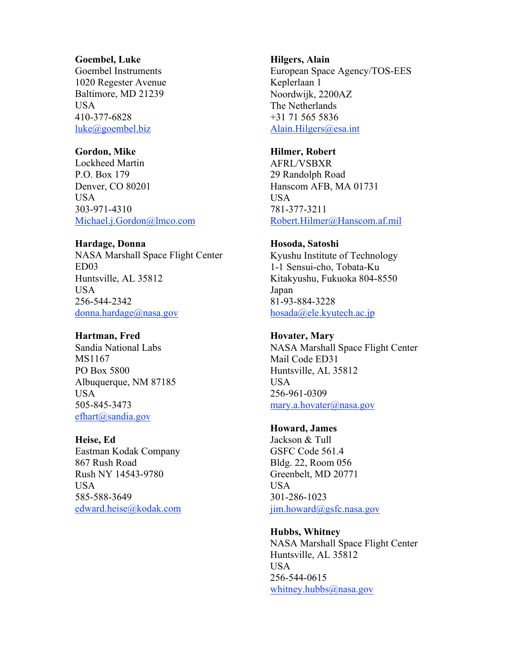#### **Goembel, Luke**

Goembel Instruments 1020 Regester Avenue Baltimore, MD 21239 USA 410-377-6828 luke@goembel.biz

### **Gordon, Mike**

Lockheed Martin P.O. Box 179 Denver, CO 80201 USA 303-971-4310 Michael.j.Gordon@lmco.com

### **Hardage, Donna**

NASA Marshall Space Flight Center ED03 Huntsville, AL 35812 USA 256-544-2342 donna.hardage@nasa.gov

### **Hartman, Fred**

Sandia National Labs MS1167 PO Box 5800 Albuquerque, NM 87185 USA 505-845-3473 efhart@sandia.gov

### **Heise, Ed**

Eastman Kodak Company 867 Rush Road Rush NY 14543-9780 USA 585-588-3649 edward.heise@kodak.com

#### **Hilgers, Alain**

European Space Agency/TOS-EES Keplerlaan 1 Noordwijk, 2200AZ The Netherlands +31 71 565 5836 Alain.Hilgers@esa.int

# **Hilmer, Robert**

AFRL/VSBXR 29 Randolph Road Hanscom AFB, MA 01731 USA 781-377-3211 Robert.Hilmer@Hanscom.af.mil

# **Hosoda, Satoshi**

Kyushu Institute of Technology 1-1 Sensui-cho, Tobata-Ku Kitakyushu, Fukuoka 804-8550 Japan 81-93-884-3228 hosada@ele.kyutech.ac.jp

### **Hovater, Mary**

NASA Marshall Space Flight Center Mail Code ED31 Huntsville, AL 35812 USA 256-961-0309 mary.a.hovater@nasa.gov

### **Howard, James**

Jackson & Tull GSFC Code 561.4 Bldg. 22, Room 056 Greenbelt, MD 20771 USA 301-286-1023 jim.howard@gsfc.nasa.gov

### **Hubbs, Whitney**

NASA Marshall Space Flight Center Huntsville, AL 35812 USA 256-544-0615 whitney.hubbs@nasa.gov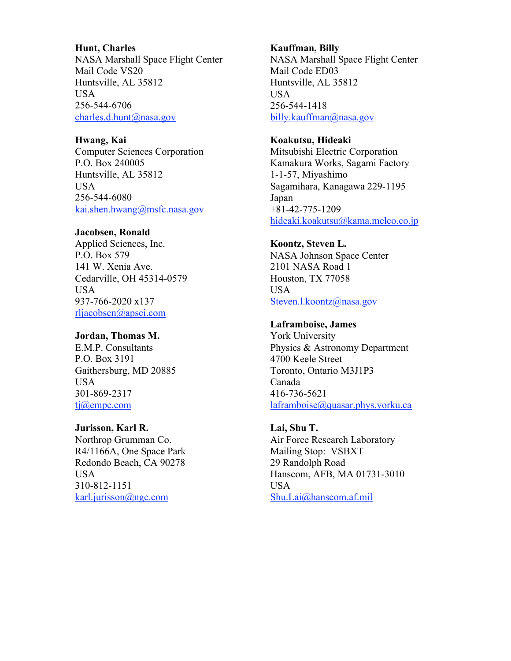#### **Hunt, Charles**

NASA Marshall Space Flight Center Mail Code VS20 Huntsville, AL 35812 USA 256-544-6706 charles.d.hunt@nasa.gov

### **Hwang, Kai**

Computer Sciences Corporation P.O. Box 240005 Huntsville, AL 35812 USA 256-544-6080 kai.shen.hwang@msfc.nasa.gov

### **Jacobsen, Ronald**

Applied Sciences, Inc. P.O. Box 579 141 W. Xenia Ave. Cedarville, OH 45314-0579 USA 937-766-2020 x137 rljacobsen@apsci.com

# **Jordan, Thomas M.**

E.M.P. Consultants P.O. Box 3191 Gaithersburg, MD 20885 USA 301-869-2317 tj@empc.com

### **Jurisson, Karl R.**

Northrop Grumman Co. R4/1166A, One Space Park Redondo Beach, CA 90278 USA 310-812-1151 karl.jurisson@ngc.com

# **Kauffman, Billy**

NASA Marshall Space Flight Center Mail Code ED03 Huntsville, AL 35812 USA 256-544-1418 billy.kauffman@nasa.gov

### **Koakutsu, Hideaki**

Mitsubishi Electric Corporation Kamakura Works, Sagami Factory 1-1-57, Miyashimo Sagamihara, Kanagawa 229-1195 Japan +81-42-775-1209 hideaki.koakutsu@kama.melco.co.jp

# **Koontz, Steven L.**

NASA Johnson Space Center 2101 NASA Road 1 Houston, TX 77058 USA Steven.l.koontz@nasa.gov

### **Laframboise, James**

York University Physics & Astronomy Department 4700 Keele Street Toronto, Ontario M3J1P3 Canada 416-736-5621 laframboise@quasar.phys.yorku.ca

# **Lai, Shu T.**

Air Force Research Laboratory Mailing Stop: VSBXT 29 Randolph Road Hanscom, AFB, MA 01731-3010 USA Shu.Lai@hanscom.af.mil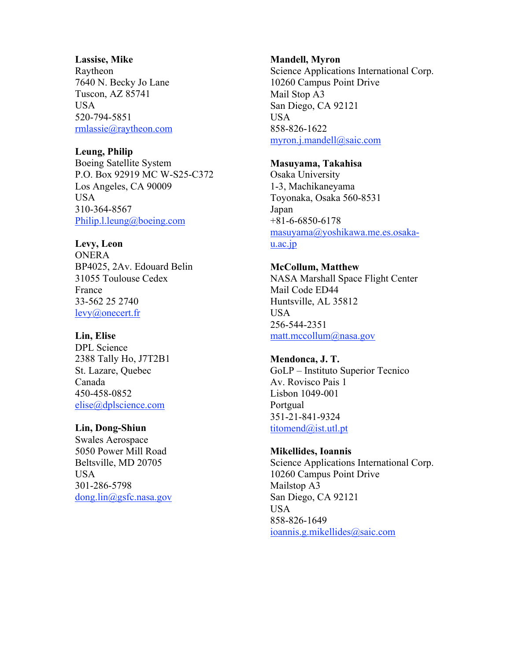#### **Lassise, Mike**

Raytheon 7640 N. Becky Jo Lane Tuscon, AZ 85741 USA 520-794-5851 rmlassie@raytheon.com

# **Leung, Philip**

Boeing Satellite System P.O. Box 92919 MC W-S25-C372 Los Angeles, CA 90009 USA 310-364-8567 Philip.l.leung@boeing.com

### **Levy, Leon**

**ONERA** BP4025, 2Av. Edouard Belin 31055 Toulouse Cedex France 33-562 25 2740 levy@onecert.fr

### **Lin, Elise**

DPL Science 2388 Tally Ho, J7T2B1 St. Lazare, Quebec Canada 450-458-0852 elise@dplscience.com

### **Lin, Dong-Shiun**

Swales Aerospace 5050 Power Mill Road Beltsville, MD 20705 USA 301-286-5798 dong.lin@gsfc.nasa.gov

#### **Mandell, Myron**

Science Applications International Corp. 10260 Campus Point Drive Mail Stop A3 San Diego, CA 92121 USA 858-826-1622 myron.j.mandell@saic.com

### **Masuyama, Takahisa**

Osaka University 1-3, Machikaneyama Toyonaka, Osaka 560-8531 Japan +81-6-6850-6178 masuyama@yoshikawa.me.es.osaka $u.ac.jp$ 

### **McCollum, Matthew**

NASA Marshall Space Flight Center Mail Code ED44 Huntsville, AL 35812 USA 256-544-2351 matt.mccollum@nasa.gov

#### **Mendonca, J. T.**

GoLP – Instituto Superior Tecnico Av. Rovisco Pais 1 Lisbon 1049-001 Portgual 351-21-841-9324 titomend@ist.utl.pt

#### **Mikellides, Ioannis**

Science Applications International Corp. 10260 Campus Point Drive Mailstop A3 San Diego, CA 92121 USA 858-826-1649 ioannis.g.mikellides@saic.com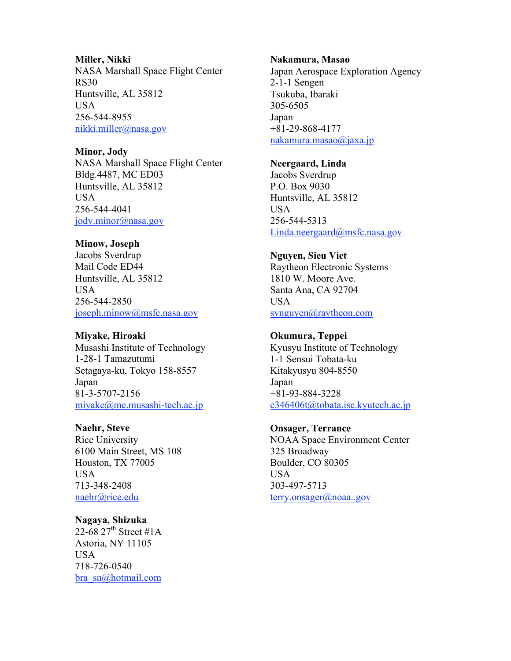#### **Miller, Nikki**

NASA Marshall Space Flight Center RS30 Huntsville, AL 35812 USA 256-544-8955 nikki.miller@nasa.gov

### **Minor, Jody**

NASA Marshall Space Flight Center Bldg.4487, MC ED03 Huntsville, AL 35812 USA 256-544-4041 jody.minor@nasa.gov

### **Minow, Joseph**

Jacobs Sverdrup Mail Code ED44 Huntsville, AL 35812 USA 256-544-2850 joseph.minow@msfc.nasa.gov

# **Miyake, Hiroaki**

Musashi Institute of Technology 1-28-1 Tamazutumi Setagaya-ku, Tokyo 158-8557 Japan 81-3-5707-2156 miyake@me.musashi-tech.ac.jp

### **Naehr, Steve**

Rice University 6100 Main Street, MS 108 Houston, TX 77005 USA 713-348-2408 naehr@rice.edu

### **Nagaya, Shizuka**

22-68 27<sup>th</sup> Street #1A Astoria, NY 11105 USA 718-726-0540 bra\_sn@hotmail.com

#### **Nakamura, Masao**

Japan Aerospace Exploration Agency 2-1-1 Sengen Tsukuba, Ibaraki 305-6505 Japan +81-29-868-4177 nakamura.masao@jaxa.jp

# **Neergaard, Linda**

Jacobs Sverdrup P.O. Box 9030 Huntsville, AL 35812 USA 256-544-5313 Linda.neergaard@msfc.nasa.gov

### **Nguyen, Sieu Viet**

Raytheon Electronic Systems 1810 W. Moore Ave. Santa Ana, CA 92704 USA svnguyen@raytheon.com

### **Okumura, Teppei**

Kyusyu Institute of Technology 1-1 Sensui Tobata-ku Kitakyusyu 804-8550 Japan +81-93-884-3228 c346406t@tobata.isc.kyutech.ac.jp

### **Onsager, Terrance**

NOAA Space Environment Center 325 Broadway Boulder, CO 80305 USA 303-497-5713 terry.onsager@noaa..gov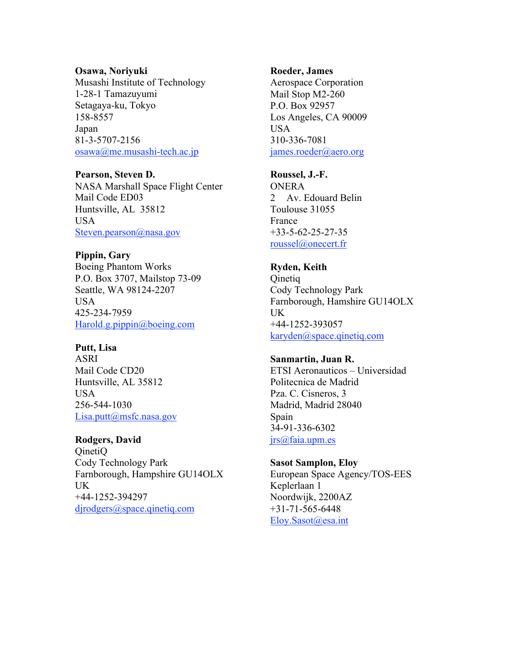#### **Osawa, Noriyuki**

Musashi Institute of Technology 1-28-1 Tamazuyumi Setagaya-ku, Tokyo 158-8557 Japan 81-3-5707-2156 osawa@me.musashi-tech.ac.jp

#### **Pearson, Steven D.**

NASA Marshall Space Flight Center Mail Code ED03 Huntsville, AL 35812 USA Steven.pearson@nasa.gov

### **Pippin, Gary**

Boeing Phantom Works P.O. Box 3707, Mailstop 73-09 Seattle, WA 98124-2207 USA 425-234-7959 Harold.g.pippin@boeing.com

#### **Putt, Lisa**

ASRI Mail Code CD20 Huntsville, AL 35812 USA 256-544-1030 Lisa.putt@msfc.nasa.gov

### **Rodgers, David**

QinetiQ Cody Technology Park Farnborough, Hampshire GU14OLX UK +44-1252-394297 djrodgers@space.qinetiq.com

#### **Roeder, James**

Aerospace Corporation Mail Stop M2-260 P.O. Box 92957 Los Angeles, CA 90009 USA 310-336-7081 james.roeder@aero.org

### **Roussel, J.-F.**

**ONERA** 2 Av. Edouard Belin Toulouse 31055 France +33-5-62-25-27-35 roussel@onecert.fr

# **Ryden, Keith**

**Qinetiq** Cody Technology Park Farnborough, Hamshire GU14OLX UK +44-1252-393057 karyden@space.qinetiq.com

#### **Sanmartin, Juan R.**

ETSI Aeronauticos – Universidad Politecnica de Madrid Pza. C. Cisneros, 3 Madrid, Madrid 28040 Spain 34-91-336-6302 jrs@faia.upm.es

# **Sasot Samplon, Eloy**

European Space Agency/TOS-EES Keplerlaan 1 Noordwijk, 2200AZ +31-71-565-6448 Eloy.Sasot@esa.int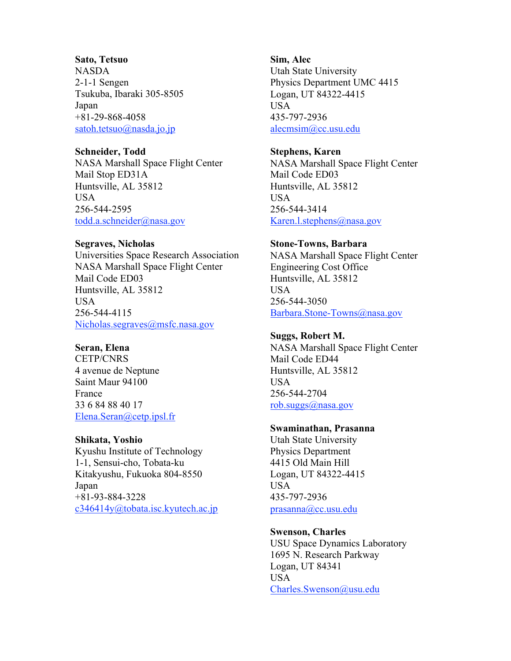#### **Sato, Tetsuo**

NASDA 2-1-1 Sengen Tsukuba, Ibaraki 305-8505 Japan +81-29-868-4058 satoh.tetsuo@nasda.jo.jp

### **Schneider, Todd**

NASA Marshall Space Flight Center Mail Stop ED31A Huntsville, AL 35812 USA 256-544-2595 todd.a.schneider@nasa.gov

### **Segraves, Nicholas**

Universities Space Research Association NASA Marshall Space Flight Center Mail Code ED03 Huntsville, AL 35812 USA 256-544-4115 Nicholas.segraves@msfc.nasa.gov

### **Seran, Elena**

CETP/CNRS 4 avenue de Neptune Saint Maur 94100 France 33 6 84 88 40 17 Elena.Seran@cetp.ipsl.fr

### **Shikata, Yoshio**

Kyushu Institute of Technology 1-1, Sensui-cho, Tobata-ku Kitakyushu, Fukuoka 804-8550 Japan +81-93-884-3228 c346414y@tobata.isc.kyutech.ac.jp

### **Sim, Alec**

Utah State University Physics Department UMC 4415 Logan, UT 84322-4415 USA 435-797-2936 alecmsim@cc.usu.edu

### **Stephens, Karen**

NASA Marshall Space Flight Center Mail Code ED03 Huntsville, AL 35812 USA 256-544-3414 Karen.l.stephens@nasa.gov

# **Stone-Towns, Barbara**

NASA Marshall Space Flight Center Engineering Cost Office Huntsville, AL 35812 USA 256-544-3050 Barbara.Stone-Towns@nasa.gov

# **Suggs, Robert M.**

NASA Marshall Space Flight Center Mail Code ED44 Huntsville, AL 35812 USA 256-544-2704 rob.suggs@nasa.gov

### **Swaminathan, Prasanna**

Utah State University Physics Department 4415 Old Main Hill Logan, UT 84322-4415 USA 435-797-2936 prasanna@cc.usu.edu

### **Swenson, Charles**

USU Space Dynamics Laboratory 1695 N. Research Parkway Logan, UT 84341 USA Charles.Swenson@usu.edu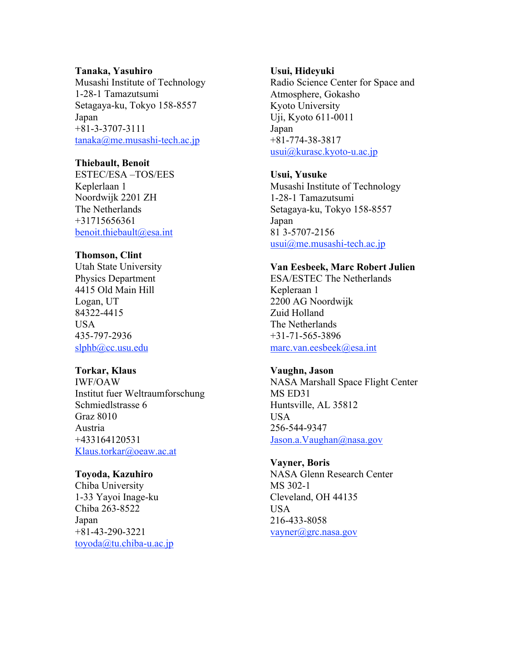#### **Tanaka, Yasuhiro**

Musashi Institute of Technology 1-28-1 Tamazutsumi Setagaya-ku, Tokyo 158-8557 Japan +81-3-3707-3111 tanaka@me.musashi-tech.ac.jp

### **Thiebault, Benoit**

ESTEC/ESA –TOS/EES Keplerlaan 1 Noordwijk 2201 ZH The Netherlands +31715656361 benoit.thiebault@esa.int

### **Thomson, Clint**

Utah State University Physics Department 4415 Old Main Hill Logan, UT 84322-4415 USA 435-797-2936 slphb@cc.usu.edu

#### **Torkar, Klaus**

IWF/OAW Institut fuer Weltraumforschung Schmiedlstrasse 6 Graz 8010 Austria +433164120531 Klaus.torkar@oeaw.ac.at

#### **Toyoda, Kazuhiro**

Chiba University 1-33 Yayoi Inage-ku Chiba 263-8522 Japan +81-43-290-3221 toyoda@tu.chiba-u.ac.jp

#### **Usui, Hideyuki**

Radio Science Center for Space and Atmosphere, Gokasho Kyoto University Uji, Kyoto 611-0011 Japan +81-774-38-3817 usui@kurasc.kyoto-u.ac.jp

### **Usui, Yusuke**

Musashi Institute of Technology 1-28-1 Tamazutsumi Setagaya-ku, Tokyo 158-8557 Japan 81 3-5707-2156 usui@me.musashi-tech.ac.jp

### **Van Eesbeek, Marc Robert Julien**

ESA/ESTEC The Netherlands Kepleraan 1 2200 AG Noordwijk Zuid Holland The Netherlands +31-71-565-3896 marc.van.eesbeek@esa.int

#### **Vaughn, Jason**

NASA Marshall Space Flight Center MS ED31 Huntsville, AL 35812 USA 256-544-9347 Jason.a.Vaughan@nasa.gov

#### **Vayner, Boris**

NASA Glenn Research Center MS 302-1 Cleveland, OH 44135 USA 216-433-8058 vayner@grc.nasa.gov